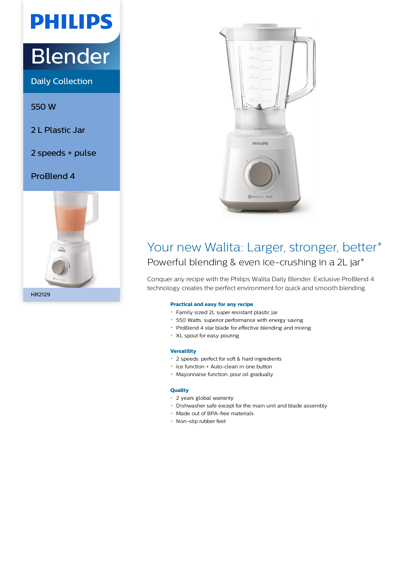# **PHILIPS**

## Blender

Daily Collection

550 W

- 2 L Plastic Jar
- 2 speeds + pulse

#### ProBlend 4





### Your new Walita: Larger, stronger, better\* Powerful blending & even ice-crushing in a 2L jar\*

Conquer any recipe with the Philips Walita Daily Blender. Exclusive ProBlend 4 technology creates the perfect environment for quick and smooth blending.

#### **Practical and easy for any recipe**

- Family sized 2L super resistant plastic jar
- 550 Watts: superior performance with energy saving
- ProBlend 4 star blade for effective blending and mixing
- XL spout for easy pouring

#### **Versatility**

- 2 speeds: perfect for soft & hard ingredients
- Ice function + Auto-clean in one button
- Mayonnaise function: pour oil gradually

#### **Quality**

- 2 years global warranty
- Dishwasher safe except for the main unit and blade assembly
- Made out of BPA-free materials
- Non-slip rubber feet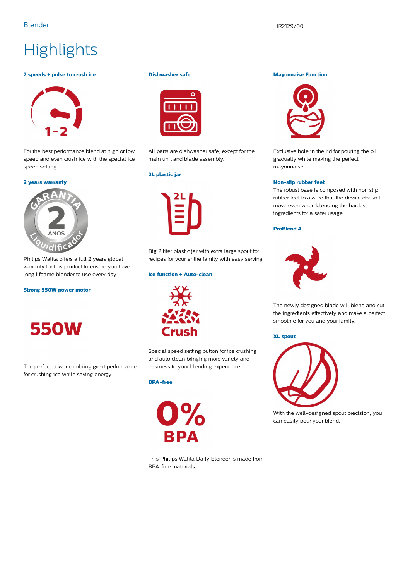## **Highlights**

#### **2 speeds + pulse to crush ice**



For the best performance blend at high or low speed and even crush ice with the special ice speed setting.

#### **2 years warranty**



Philips Walita offers a full 2 years global warranty for this product to ensure you have long lifetime blender to use every day.

#### **Strong 550W power motor**



The perfect power combiing great performance for crushing ice while saving energy.

#### **Dishwasher safe**



All parts are dishwasher safe, except for the main unit and blade assembly.

#### **2L plastic jar**



Big 2 liter plastic jar with extra large spout for recipes for your entire family with easy serving.

#### **Ice function + Auto-clean**



Special speed setting button for ice crushing and auto clean bringing more variety and easiness to your blending experience.

#### **BPA-free**



This Philips Walita Daily Blender is made from BPA-free materials.

#### **Mayonnaise Function**



Exclusive hole in the lid for pouring the oil gradually while making the perfect mayonnaise.

#### **Non-slip rubber feet**

The robust base is composed with non slip rubber feet to assure that the device doesn't move even when blending the hardest ingredients for a safer usage.

#### **ProBlend 4**



The newly designed blade will blend and cut the ingredients effectively and make a perfect smoothie for you and your family.

#### **XL spout**



With the well-designed spout precision, you can easily pour your blend.